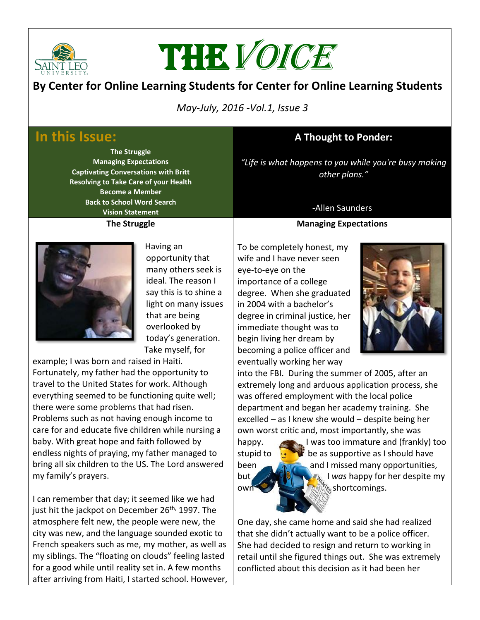

# THE VOICE

## **By Center for Online Learning Students for Center for Online Learning Students**

 *May-July, 2016 -Vol.1, Issue 3*

# **In this Issue:**

**The Struggle Managing Expectations Captivating Conversations with Britt Resolving to Take Care of your Health Become a Member Back to School Word Search Vision Statement The Struggle**

# **A Thought to Ponder:**

*"Life is what happens to you while you're busy making other plans."* 

### -Allen Saunders

#### **Managing Expectations**



Having an opportunity that many others seek is ideal. The reason I say this is to shine a light on many issues that are being overlooked by today's generation. Take myself, for

example; I was born and raised in Haiti. Fortunately, my father had the opportunity to travel to the United States for work. Although everything seemed to be functioning quite well; there were some problems that had risen. Problems such as not having enough income to care for and educate five children while nursing a baby. With great hope and faith followed by endless nights of praying, my father managed to bring all six children to the US. The Lord answered my family's prayers.

I can remember that day; it seemed like we had just hit the jackpot on December 26<sup>th,</sup> 1997. The atmosphere felt new, the people were new, the city was new, and the language sounded exotic to French speakers such as me, my mother, as well as my siblings. The "floating on clouds" feeling lasted for a good while until reality set in. A few months after arriving from Haiti, I started school. However, To be completely honest, my wife and I have never seen eye-to-eye on the importance of a college degree. When she graduated in 2004 with a bachelor's degree in criminal justice, her immediate thought was to begin living her dream by becoming a police officer and eventually working her way



into the FBI. During the summer of 2005, after an extremely long and arduous application process, she was offered employment with the local police department and began her academy training. She excelled – as I knew she would – despite being her own worst critic and, most importantly, she was

happy. I was too immature and (frankly) too stupid to  $\mathbf{b}$  be as supportive as I should have been **and I missed many opportunities**, but **I was happy for her despite my** own shortcomings.

One day, she came home and said she had realized that she didn't actually want to be a police officer. She had decided to resign and return to working in retail until she figured things out. She was extremely conflicted about this decision as it had been her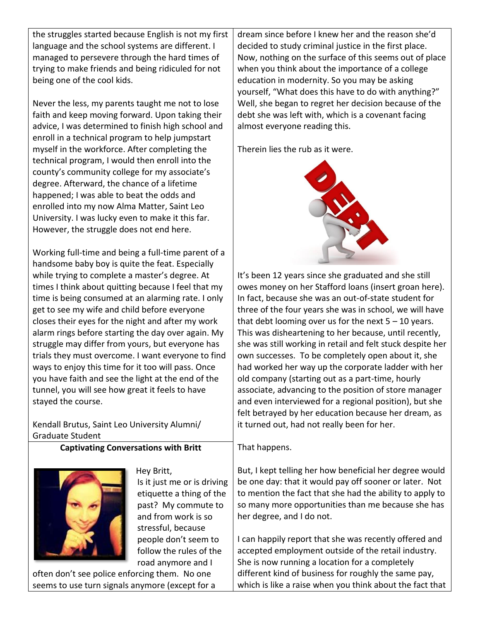the struggles started because English is not my first language and the school systems are different. I managed to persevere through the hard times of trying to make friends and being ridiculed for not being one of the cool kids.

Never the less, my parents taught me not to lose faith and keep moving forward. Upon taking their advice, I was determined to finish high school and enroll in a technical program to help jumpstart myself in the workforce. After completing the technical program, I would then enroll into the county's community college for my associate's degree. Afterward, the chance of a lifetime happened; I was able to beat the odds and enrolled into my now Alma Matter, Saint Leo University. I was lucky even to make it this far. However, the struggle does not end here.

Working full-time and being a full-time parent of a handsome baby boy is quite the feat. Especially while trying to complete a master's degree. At times I think about quitting because I feel that my time is being consumed at an alarming rate. I only get to see my wife and child before everyone closes their eyes for the night and after my work alarm rings before starting the day over again. My struggle may differ from yours, but everyone has trials they must overcome. I want everyone to find ways to enjoy this time for it too will pass. Once you have faith and see the light at the end of the tunnel, you will see how great it feels to have stayed the course.

Kendall Brutus, Saint Leo University Alumni/ Graduate Student

**Captivating Conversations with Britt**



Hey Britt, Is it just me or is driving etiquette a thing of the past? My commute to and from work is so stressful, because people don't seem to follow the rules of the road anymore and I

often don't see police enforcing them. No one seems to use turn signals anymore (except for a

dream since before I knew her and the reason she'd decided to study criminal justice in the first place. Now, nothing on the surface of this seems out of place when you think about the importance of a college education in modernity. So you may be asking yourself, "What does this have to do with anything?" Well, she began to regret her decision because of the debt she was left with, which is a covenant facing almost everyone reading this.

Therein lies the rub as it were.



It's been 12 years since she graduated and she still owes money on her Stafford loans (insert groan here). In fact, because she was an out-of-state student for three of the four years she was in school, we will have that debt looming over us for the next  $5 - 10$  years. This was disheartening to her because, until recently, she was still working in retail and felt stuck despite her own successes. To be completely open about it, she had worked her way up the corporate ladder with her old company (starting out as a part-time, hourly associate, advancing to the position of store manager and even interviewed for a regional position), but she felt betrayed by her education because her dream, as it turned out, had not really been for her.

That happens.

But, I kept telling her how beneficial her degree would be one day: that it would pay off sooner or later. Not to mention the fact that she had the ability to apply to so many more opportunities than me because she has her degree, and I do not.

I can happily report that she was recently offered and accepted employment outside of the retail industry. She is now running a location for a completely different kind of business for roughly the same pay, which is like a raise when you think about the fact that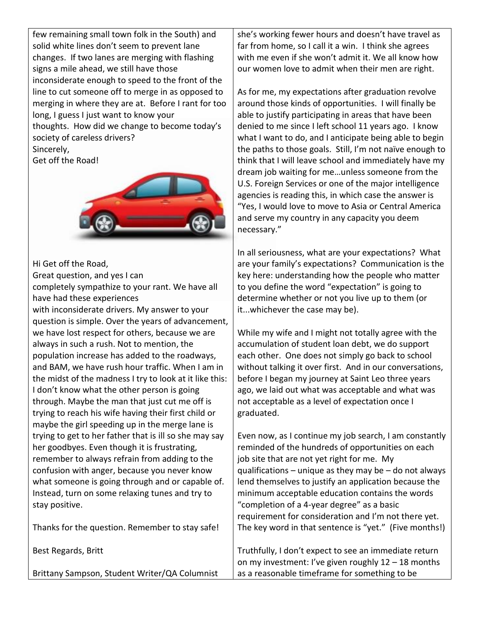few remaining small town folk in the South) and solid white lines don't seem to prevent lane changes. If two lanes are merging with flashing signs a mile ahead, we still have those inconsiderate enough to speed to the front of the line to cut someone off to merge in as opposed to merging in where they are at. Before I rant for too long, I guess I just want to know your thoughts. How did we change to become today's society of careless drivers? Sincerely,

Get off the Road!



Hi Get off the Road,

Great question, and yes I can

completely sympathize to your rant. We have all have had these experiences

with inconsiderate drivers. My answer to your question is simple. Over the years of advancement, we have lost respect for others, because we are always in such a rush. Not to mention, the population increase has added to the roadways, and BAM, we have rush hour traffic. When I am in the midst of the madness I try to look at it like this: I don't know what the other person is going through. Maybe the man that just cut me off is trying to reach his wife having their first child or maybe the girl speeding up in the merge lane is trying to get to her father that is ill so she may say her goodbyes. Even though it is frustrating, remember to always refrain from adding to the confusion with anger, because you never know what someone is going through and or capable of. Instead, turn on some relaxing tunes and try to stay positive.

Thanks for the question. Remember to stay safe!

Best Regards, Britt

Brittany Sampson, Student Writer/QA Columnist

she's working fewer hours and doesn't have travel as far from home, so I call it a win. I think she agrees with me even if she won't admit it. We all know how our women love to admit when their men are right.

As for me, my expectations after graduation revolve around those kinds of opportunities. I will finally be able to justify participating in areas that have been denied to me since I left school 11 years ago. I know what I want to do, and I anticipate being able to begin the paths to those goals. Still, I'm not naïve enough to think that I will leave school and immediately have my dream job waiting for me…unless someone from the U.S. Foreign Services or one of the major intelligence agencies is reading this, in which case the answer is "Yes, I would love to move to Asia or Central America and serve my country in any capacity you deem necessary."

In all seriousness, what are your expectations? What are your family's expectations? Communication is the key here: understanding how the people who matter to you define the word "expectation" is going to determine whether or not you live up to them (or it...whichever the case may be).

While my wife and I might not totally agree with the accumulation of student loan debt, we do support each other. One does not simply go back to school without talking it over first. And in our conversations, before I began my journey at Saint Leo three years ago, we laid out what was acceptable and what was not acceptable as a level of expectation once I graduated.

Even now, as I continue my job search, I am constantly reminded of the hundreds of opportunities on each job site that are not yet right for me. My qualifications – unique as they may be – do not always lend themselves to justify an application because the minimum acceptable education contains the words "completion of a 4-year degree" as a basic requirement for consideration and I'm not there yet. The key word in that sentence is "yet." (Five months!)

Truthfully, I don't expect to see an immediate return on my investment: I've given roughly 12 – 18 months as a reasonable timeframe for something to be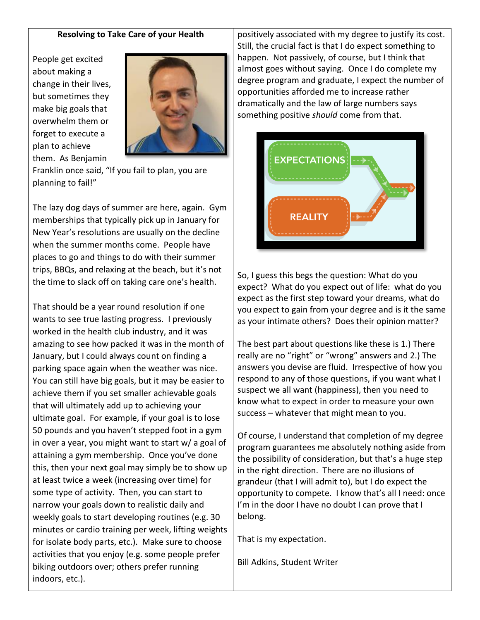#### **Resolving to Take Care of your Health**

People get excited about making a change in their lives, but sometimes they make big goals that overwhelm them or forget to execute a plan to achieve them. As Benjamin



Franklin once said, "If you fail to plan, you are planning to fail!"

The lazy dog days of summer are here, again. Gym memberships that typically pick up in January for New Year's resolutions are usually on the decline when the summer months come. People have places to go and things to do with their summer trips, BBQs, and relaxing at the beach, but it's not the time to slack off on taking care one's health.

That should be a year round resolution if one wants to see true lasting progress. I previously worked in the health club industry, and it was amazing to see how packed it was in the month of January, but I could always count on finding a parking space again when the weather was nice. You can still have big goals, but it may be easier to achieve them if you set smaller achievable goals that will ultimately add up to achieving your ultimate goal. For example, if your goal is to lose 50 pounds and you haven't stepped foot in a gym in over a year, you might want to start w/ a goal of attaining a gym membership. Once you've done this, then your next goal may simply be to show up at least twice a week (increasing over time) for some type of activity. Then, you can start to narrow your goals down to realistic daily and weekly goals to start developing routines (e.g. 30 minutes or cardio training per week, lifting weights for isolate body parts, etc.). Make sure to choose activities that you enjoy (e.g. some people prefer biking outdoors over; others prefer running indoors, etc.).

positively associated with my degree to justify its cost. Still, the crucial fact is that I do expect something to happen. Not passively, of course, but I think that almost goes without saying. Once I do complete my degree program and graduate, I expect the number of opportunities afforded me to increase rather dramatically and the law of large numbers says something positive *should* come from that.



So, I guess this begs the question: What do you expect? What do you expect out of life: what do you expect as the first step toward your dreams, what do you expect to gain from your degree and is it the same as your intimate others? Does their opinion matter?

The best part about questions like these is 1.) There really are no "right" or "wrong" answers and 2.) The answers you devise are fluid. Irrespective of how you respond to any of those questions, if you want what I suspect we all want (happiness), then you need to know what to expect in order to measure your own success – whatever that might mean to you.

Of course, I understand that completion of my degree program guarantees me absolutely nothing aside from the possibility of consideration, but that's a huge step in the right direction. There are no illusions of grandeur (that I will admit to), but I do expect the opportunity to compete. I know that's all I need: once I'm in the door I have no doubt I can prove that I belong.

That is my expectation.

Bill Adkins, Student Writer